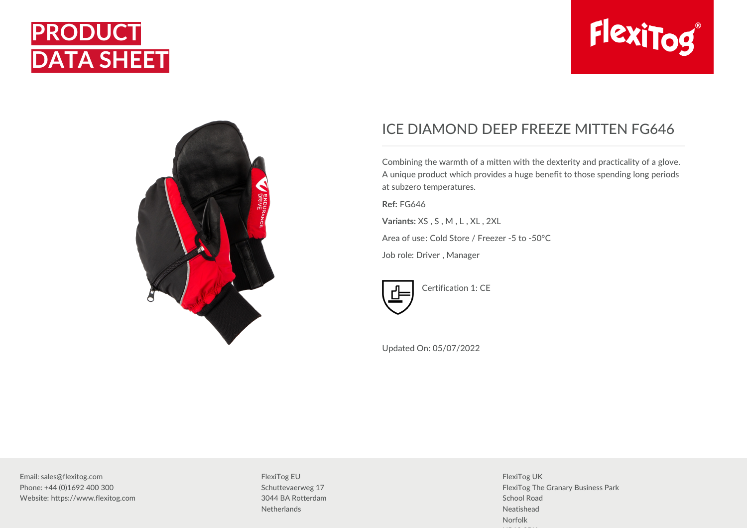





## ICE DIAMOND DEEP FREEZE MITTEN FG646

Combining the warmth of a mitten with the dexterity and practicality of a glove. A unique product which provides a huge benefit to those spending long periods at subzero temperatures.

**Ref:** FG646

**Variants:** XS , S , M , L , XL , 2XL

Area of use: Cold Store / Freezer -5 to -50°C

Job role: Driver , Manager



Certification 1: CE

Updated On: 05/07/2022

Email: sales@flexitog.com Phone: +44 (0)1692 400 300 Website: https://www.flexitog.com FlexiTog EU Schuttevaerweg 17 3044 BA Rotterdam **Netherlands** 

FlexiTog UK FlexiTog The Granary Business Park School Road Neatishead Norfolk